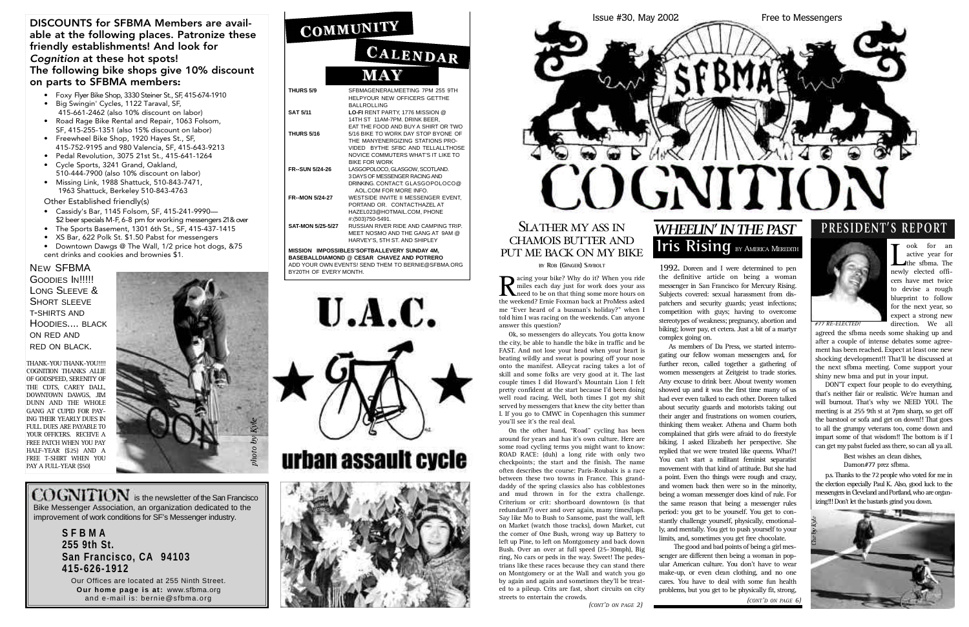|                                                                                                                                                  | CALENDAR                                                                                                                                                                   |  |
|--------------------------------------------------------------------------------------------------------------------------------------------------|----------------------------------------------------------------------------------------------------------------------------------------------------------------------------|--|
|                                                                                                                                                  | <b>MAY</b>                                                                                                                                                                 |  |
| THURS 5/9                                                                                                                                        | SFBMAGENERALMEETING 7PM 255 9TH<br>HELPYOUR NEW OFFICERS GETTHE<br><b>BALLROLLING</b>                                                                                      |  |
| <b>SAT 5/11</b>                                                                                                                                  | LO-FI RENT PARTY, 1776 MISSION @<br>14TH ST 11AM-7PM, DRINK BEER.<br>EAT THE FOOD AND BUY A SHIRT OR TWO                                                                   |  |
| <b>THURS 5/16</b>                                                                                                                                | 5/16 BIKE TO WORK DAY STOP BYONE OF<br>THE MANYENERGIZING STATIONS PRO-<br>VIDED BYTHE SFBC AND TELLALLTHOSE<br>NOVICE COMMUTERS WHAT'S IT LIKE TO<br><b>BIKE FOR WORK</b> |  |
| <b>FR--SUN 5/24-26</b>                                                                                                                           | LASGOPOLOCO, GLASGOW, SCOTLAND.<br>3 DAYS OF MESSENGER RACING AND<br>DRINKING, CONTACT, GLASGOPOLOCO@<br>AOL.COM FOR MORE INFO.                                            |  |
| <b>FR--MON 5/24-27</b>                                                                                                                           | WESTSIDE INVITE II MESSENGER EVENT,<br>PORTAND OR. CONTACTHAZEL AT<br>HAZEL023@HOTMAIL.COM, PHONE<br>#:(503)750-5491.                                                      |  |
| <b>SAT-MON 5/25-5/27</b>                                                                                                                         | RUSSIAN RIVER RIDE AND CAMPING TRIP.<br>MEET NOSMO AND THE GANG AT 9AM @<br>HARVEY'S, 5TH ST. AND SHIPLEY                                                                  |  |
| MISSION IMPOSSIBLES'SOFTBALLEVERY SUNDAY 4M,<br>BASEBALLDIAMOND @ CESAR CHAVEZ AND POTRERO<br>ADD YOUR OWN EVENTS! SEND THEM TO BERNIE@SFBMA.ORG |                                                                                                                                                                            |  |

COGNITION is the newsletter of the San Francisco Bike Messenger Association, an organization dedicated to the improvement of work conditions for SF's Messenger industry.

BY20TH OF EVERY MONTH.

U.A.C.



# urban assault cycle





### SLATHER MY ASS IN CHAMOIS BUTTER AND PUT ME BACK ON MY BIKE

**BY ROB** (GINGER) SAYBOLT

**S F B M A 255 9th St. San Francisco, CA 9 4 1 0 3 4 1 5 - 6 2 6 - 1 9 1 2**

Our Offices are located at 255 Ninth Street. **Our home page is at: www.sfbma.org** and e-mail is: bernie@sfbma.org

# COMMUNITY

GOODIES IN!!!!! LONG SLEEVE & SHORT SLEEVE T-SHIRTS AND HOODIES.... BLACK ON RED AND RED ON BLACK.

### DISCOUNTS for SFBMA Members are available at the following places. Patronize these friendly establishments! And look for *Cognition* at these hot spots! The following bike shops give 10% discount on parts to SFBMA members:

Recalign your bike? Why do it? When you ride<br>miles each day just for work does your ass<br>need to be on that thing some more hours on<br>the weekend? Frnie Foxman back at ProMess asked miles each day just for work does your ass need to be on that thing some more hours on the weekend? Ernie Foxman back at ProMess asked me "Ever heard of a busman's holiday?" when I told him I was racing on the weekends. Can anyone answer this question?

- Foxy Flyer Bike Shop, 3330 Steiner St., SF, 415-674-1910 • Big Swingin' Cycles, 1122 Taraval, SF,
- 415-661-2462 (also 10% discount on labor) • Road Rage Bike Rental and Repair, 1063 Folsom,
- SF, 415-255-1351 (also 15% discount on labor) • Freewheel Bike Shop, 1920 Hayes St., SF,
- 415-752-9195 and 980 Valencia, SF, 415-643-9213 • Pedal Revolution, 3075 21st St., 415-641-1264
- Cycle Sports, 3241 Grand, Oakland, 510-444-7900 (also 10% discount on labor)
- Missing Link, 1988 Shattuck, 510-843-7471, 1963 Shattuck, Berkeley 510-843-4763

Other Established friendly(s)

- Cassidy's Bar, 1145 Folsom, SF, 415-241-9990— \$2 beer specials M-F, 6-8 pm for working messengers 21 & over
- The Sports Basement, 1301 6th St., SF, 415-437-1415
- XS Bar, 622 Polk St. \$1.50 Pabst for messengers
- Downtown Dawgs @ The Wall, 1/2 price hot dogs, &75 cent drinks and cookies and brownies \$1.

#### **NEW SFBMA**

THANK-YOU THANK-YOU !!!! COGNITION THANKS ALLIE OF GODSPEED, SERENITY OF THE CDTS, CAREY DALL, DOWNTOWN DAWGS, JIM DUNN AND THE WHOLE GANG AT CUPID FOR PAY-ING THEIR YEARLY DUES IN FULL. DUES ARE PAYABLE TO YOUR OFFICERS. RECEIVE A FREE PATCH WHEN YOU PAY HALF-YEAR (\$25) AND A FREE T-SHIRT WHEN YOU PAY A FULL-YEAR (\$50)



1992. Doreen and I were determined to pen the definitive article on being a woman messenger in San Francisco for Mercury Rising. Subjects covered: sexual harassment from dispatchers and security guards; yeast infections; competition with guys; having to overcome stereotypes of weakness; pregnancy, abortion and biking; lower pay, et cetera. Just a bit of a martyr complex going on.

Ok, so messengers do alleycats. You gotta know the city, be able to handle the bike in traffic and be FAST. And not lose your head when your heart is beating wildly and sweat is pouring off your nose onto the manifest. Alleycat racing takes a lot of skill and some folks are very good at it. The last couple times I did Howard's Mountain Lion I felt pretty confident at the start because I'd been doing well road racing. Well, both times I got my shit served by messengers that knew the city better than I. If you go to CMWC in Copenhagen this summer you'll see it's the real deal.

> Best wishes an clean dishes, Damon#77 prez sfbma.

On the other hand, "Road" cycling has been around for years and has it's own culture. Here are some road cycling terms you might want to know: ROAD RACE: (duh) a long ride with only two checkpoints; the start and the finish. The name often describes the course: Paris-Roubaix is a race between these two towns in France. This granddaddy of the spring classics also has cobblestones and mud thrown in for the extra challenge. Criterium or crit: shortboard downtown (is that redundant?) over and over again, many times/laps. Say like Mo to Bush to Sansome, past the wall, left on Market (watch those tracks), down Market, cut the corner of One Bush, wrong way up Battery to left up Pine, to left on Montgomery and back down Bush. Over an over at full speed (25-30mph), Big ring, No cars or peds in the way. Sweet! The pedestrians like these races because they can stand there on Montgomery or at the Wall and watch you go by again and again and sometimes they'll be treated to a pileup. Crits are fast, short circuits on city streets to entertain the crowds.

# *WHEELIN' IN THE PAST* **Iris Rising** BY AMERICA MEREDITH

As members of Da Press, we started interrogating our fellow woman messengers and, for further recon, called together a gathering of women messengers at Zeitgeist to trade stories. Any excuse to drink beer. About twenty women showed up and it was the first time many of us had ever even talked to each other. Doreen talked about security guards and motorists taking out their anger and frustrations on women couriers, thinking them weaker. Athena and Charm both complained that girls were afraid to do freestyle biking. I asked Elizabeth her perspective. She replied that we were treated like queens. What?! You can't start a militant feminist separatist movement with that kind of attitude. But she had a point. Even tho things were rough and crazy, and women back then were so in the minority, being a woman messenger does kind of rule. For the same reason that being a messenger rules period: you get to be yourself. You get to constantly challenge yourself, physically, emotionally, and mentally. You get to push yourself to your limits, and, sometimes you get free chocolate.

The good and bad points of being a girl messenger are different then being a woman in popular American culture. You don't have to wear make-up, or even clean clothing, and no one cares. You have to deal with some fun health problems, but you get to be physically fit, strong, *(CONT'D ON PAGE 6)*

## **PRESIDENT'S REPORT**



agreed the sfbma needs some shaking up and after a couple of intense debates some agreement has been reached. Expect at least one new shocking development!! That'll be discussed at the next sfbma meeting. Come support your shiny new bma and put in your input.

DON"T expect four people to do everything, that's neither fair or realistic. We're human and will burnout. That's why we NEED YOU. The meeting is at 255 9th st at 7pm sharp, so get off the barstool or sofa and get on down!! That goes to all the grumpy veterans too, come down and impart some of that wisdom!! The bottom is if I can get my pabst fueled ass there, so can all ya all.

p.s. Thanks to the 72 people who voted for me in the election especially Paul K. Also, good luck to the messengers in Cleveland and Portland, who are organizing!!! Don't let the bastards grind you down.



*#77 RE-ELECTED!*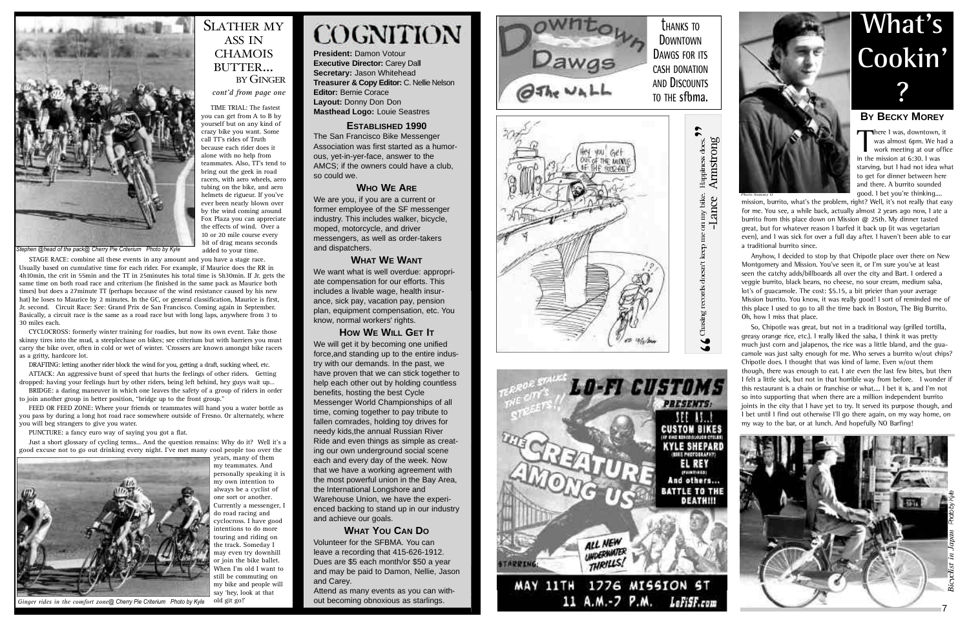**President:** Damon Votour **Executive Director: Carey Dall Secretary:** Jason Whitehead **Treasurer & Copy Editor:** C. Nellie Nelson **Editor: Bernie Corace Layout:** Donny Don Don **Masthead Logo:** Louie Seastres

### **ESTABLISHED 1990**

The San Francisco Bike Messenger Association was first started as a humor ous, yet-in-yer-face, answer to the AMCS; if the owners could have a club, so could we.

### **WHO W E ARE**

We want what is well overdue: appropriate compensation for our efforts. This includes a livable wage, health insur ance, sick pay, vacation pay, pension plan, equipment compensation, etc. You know, normal workers' rights.

We are you, if you are a current or former employee of the SF messenger industry . This includes walker, bicycle, moped, motorcycle, and driver messengers, as well as order-takers and dispatchers.

### **WHAT W E WANT**

### **HOW WE WILL GET I T**

We will get it by becoming one unified force,and standing up to the entire indus try with our demands. In the past, we have proven that we can stick together to help each other out by holding countless benefits, hosting the best Cycle Messenger World Championships of all time, coming together to pay tribute to fallen comrades, holding toy drives for needy kids,the annual Russian River Ride and even things as simple as creat ing our own underground social scene each and every day of the week. Now that we have a working agreement with the most powerful union in the Bay Area, the International Longshore and Warehouse Union, we have the experi enced backing to stand up in our industry and achieve our goals.

mission, burrito, what's the problem, right? Well, it's not really that easy for me. You see, a while back, actually almost 2 years ago now, I ate a burrito from this place down on Mission @ 25th. My dinner tasted great, but for whatever reason I barfed it back up (it was vegetarian even), and I was sick for over a full day after. I haven't been able to ear a traditional burrito since.

Anyhow, I decided to stop by that Chipotle place over there on New Montgomery and Mission. You've seen it, or I'm sure you've at least seen the catchy adds/billboards all over the city and Bart. I ordered a veggie burrito, black beans, no cheese, no sour cream, medium salsa, lot's of guacamole. The cost: \$5.15, a bit pricier than your average Mission burrito. You know, it was really good! I sort of reminded me of this place I used to go to all the time back in Boston, The Big Burrito. Oh, how I miss that place.

### **WHAT YOU CAN D O** Volunteer for the SFBMA. You can leave a recording that 415-626-1912. Dues are \$5 each month/or \$50 a year and may be paid to Damon, Nellie, Jason and Carey .

Attend as many events as you can with out becoming obnoxious as starlings.

STAGE RACE: combine all these events in any amount and you have a stage race. Usually based on cumulative time for each rider. For example, if Maurice does the RR in 4 h 10min, the crit in 55min and the TT in 25minutes his total time is 5h30min. If Jr. gets the same time on both road race and criterium (he finished in the same pack as Maurice both times) but does a 27minute TT (perhaps because of the wind resistance caused by his new hat) he loses to Maurice by 2 minutes. In the GC, or general classification, Maurice is first, Jr. second. Circuit Race: See: Grand Prix de San Francisco. Coming again in September. Basically, a circuit race is the same as a road race but with long laps, anywhere from 3 to 30 miles each.

CYCLOCROSS: formerly winter training for roadies, but now its own event. Take those skinny tires into the mud, a steeplechase on bikes; see criterium but with barriers you must carry the bike over, often in cold or wet of winter. 'Crossers are known amongst bike racers as a gritty, hardcore lot.

DRAFTING: letting another rider block the wind for you, getting a draft, sucking wheel, etc.<br>ATTACK: An aggressive burst of speed that hurts the feelings of other riders. Getting

BRIDGE: a daring maneuver in which one leaves the safety of a group of riders in order to join another group in better position, "bridge up to the front group."

So, Chipotle was great, but not in a traditional way (grilled tortilla, greasy orange rice, etc.). I really liked the salsa, I think it was pretty much just corn and jalapenos, the rice was a little bland, and the guacamole was just salty enough for me. Who serves a burrito w/out chips? Chipotle does. I thought that was kind of lame. Even w/out them though, there was enough to eat. I ate even the last few bites, but then I felt a little sick, but not in that horrible way from before. I wonder if this restaurant is a chain or franchise or what.... I bet it is, and I'm not so into supporting that when there are a million independent burrito joints in the city that I have yet to try. It served its purpose though, and I bet until I find out otherwise I'll go there again, on my way home, on my way to the bar, or at lunch. And hopefully NO Barfing!

# **What' s Cookin' ?**

### **BY BECKY MOREY**

There I was, downtown, it<br>was almost 6pm. We had<br>work meeting at our offin<br>in the mission at 6:30 J was was almost 6pm. We had a work meeting at our office in the mission at 6:30. I was starving, but I had not idea what to get for dinner between here and there. A burrito sounded qood. I bet you're thinking....



TIME TRIAL: The fastest you can get from A to B by yourself but on any kind of crazy bike you want. Some call TT's rides of Truth because each rider does it alone with no help from teammates. Also, TT's tend to bring out the geek in road racers, with aero wheels, aero



10 or 20 mile course every bit of drag means seconds added to your time.

# **COGNITION**

dropped: having your feelings hurt by other riders, being left behind, hey guys wait up…

FEED OR FEED ZONE: Where your friends or teammates will hand you a water bottle as you pass by during a long hot road race somewhere outside of Fresno. Or alternately, where you will beg strangers to give you water.

PUNCTURE: a fancy euro way of saying you got a flat.

Just a short glossary of cycling terms... And the question remains: Why do it? Well it's a good excuse not to go out drinking every night. I've met many cool people too over the



years, many of them my teammates. And personally speaking it is my own intention to always be a cyclist of one sort or another . Currently a messenger, I do road racing and cyclocross. I have good intentions to do more touring and riding on the track. Someday I may even try downhill or join the bike ballet. When I'm old I want to still be commuting on my bike and people will say 'hey, look at that old git go!'

*Stephen @head of the pack@ Cherry Pie Criterium Photo by Kyle*

*cont'd from page one*

BY GINGER

SLATHER MY ASS IN **CHAMOIS** BUTTER...

Fox Plaza you can appreciate





 $\bullet$ does. Happiness my bike.  $\overline{5}$   $\overline{1}$  $\mathbf{m}$ records doesn't keep Chasing **r**  $\frac{1}{2}$ 



*Ginger rides in the comfort zone@ Cherry Pie Criterium Photo by Kyle*

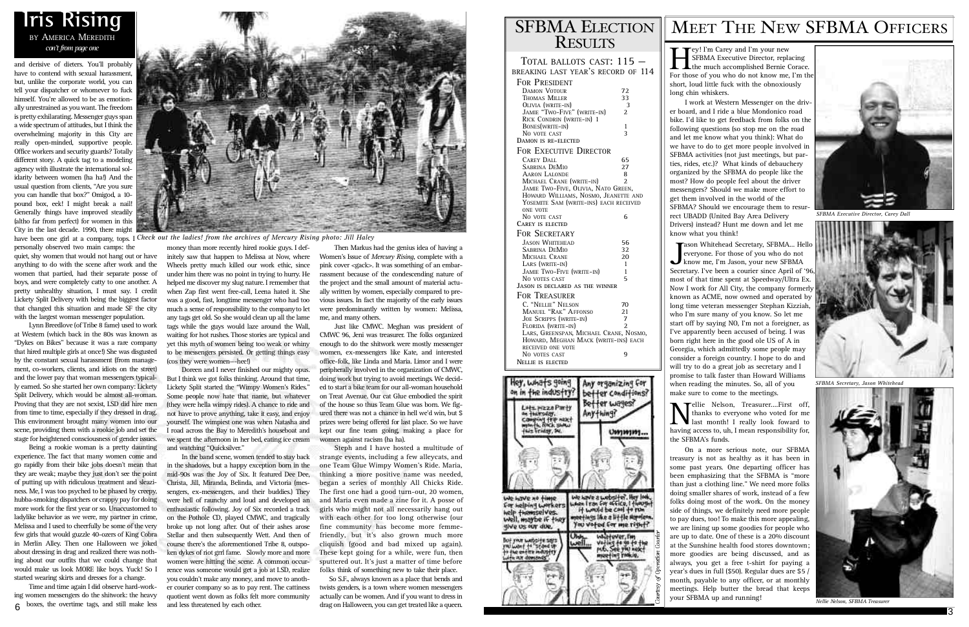and derisive of dieters. You'll probably have to contend with sexual harassment, but, unlike the corporate world, you can tell your dispatcher or whomever to fuck himself. You're allowed to be as emotionally unrestrained as you want. The freedom is pretty exhilarating. Messenger guys span a wide spectrum of attitudes, but I think the overwhelming majority in this City are really open-minded, supportive people. Office workers and security guards? Totally different story. A quick tag to a modeling agency with illustrate the international solidarity between women (ha ha!) And the usual question from clients, "Are you sure you can handle that box?" Omigod, a 10pound box, eek! I might break a nail! Generally things have improved steadily (altho far from perfect) for women in this City in the last decade. 1990, there might

personally observed two main camps: the quiet, shy women that would not hang out or have anything to do with the scene after work and the women that partied, had their separate posse of boys, and were completely catty to one another. A pretty unhealthy situation, I must say. I credit Lickety Split Delivery with being the biggest factor that changed this situation and made SF the city with the largest woman messenger population.

Time and time again I did observe hard-working women messengers do the shitwork: the heavy 6 boxes, the overtime tags, and still make less and less threatened by each other. drag on Halloween, you can get treated like a queen.

Lynn Breedlove (of Tribe 8 fame) used to work at Western (which back in the 80s was known as "Dykes on Bikes" because it was a rare company that hired multiple girls at once!) She was disgusted by the constant sexual harassment (from management, co-workers, clients, and idiots on the street) and the lower pay that woman messengers typically earned. So she started her own company: Lickety Split Delivery, which would be almost all-woman. Proving that they are not sexist, LSD did hire men from time to time, especially if they dressed in drag. This environment brought many women into our scene, providing them with a rookie job and set the stage for heightened consciousness of gender issues.

Being a rookie woman is a pretty daunting experience. The fact that many women come and go rapidly from their bike jobs doesn't mean that they are weak; maybe they just don't see the point of putting up with ridiculous treatment and sleaziness. Me, I was too psyched to be phased by creepy, hubba-smoking dispatchers or crappy pay for doing more work for the first year or so. Unaccustomed to ladylike behavior as we were, my partner in crime, Melissa and I used to cheerfully be some of the very few girls that would guzzle 40-ozers of King Cobra in Merlin Alley. Then one Halloween we joked about dressing in drag and realized there was nothing about our outfits that we could change that would make us look MORE like boys. Yuck! So I started wearing skirts and dresses for a change.

money than more recently hired rookie guys. I definitely saw that happen to Melissa at Now, where Wheels pretty much killed our work ethic, since under him there was no point in trying to hurry. He helped me discover my slug nature. I remember that when Zap first went free-call, Leena hated it. She was a good, fast, longtime messenger who had too much a sense of responsibility to the companyto let any tags get old. So she would clean up all the lame tags while the guys would laze around the Wall, waiting for hot rushes. Those stories are typical and yet this myth of women being too weak or whiny to be messengers persisted. Or getting things easy (cos they were women—-hee!)

**Tey!** I'm Carey and I'm your new SFBMA Executive Director, replacing the much accomplished Bernie Corace. For those of you who do not know me, I'm the short, loud little fuck with the obnoxiously long chin whiskers.

Doreen and I never finished our mighty opus. But I think we got folks thinking. Around that time, Lickety Split started the "Wimpy Women's Rides." Some people now hate that name, but whatever (they were hella wimpy rides). A chance to ride and not have to prove anything, take it easy, and enjoy yourself. The wimpiest one was when Natasha and I road across the Bay to Meredith's houseboat and we spent the afternoon in her bed, eating ice cream and watching "Quicksilver."

**N** ellie Nelson, Treasurer....First off,<br>thanks to everyone who voted for me<br>having access to uh I mean responsibility for Tellie Nelson, Treasurer....First off, thanks to everyone who voted for me having access to, uh, I mean responsibility for, the SFBMA's funds.

In the band scene, women tended to stay back in the shadows, but a happy exception born in the mid-90s was the Joy of Six. It featured Dee Dee, Christa, Jill, Miranda, Belinda, and Victoria (messengers, ex-messengers, and their buddies.) They were hell of raunchy and loud and developed an enthusiastic following. Joy of Six recorded a track on the Pothole CD, played CMWC, and tragically broke up not long after. Out of their ashes arose Stellar and then subsequently Wett. And then of course there's the aforementioned Tribe 8, outspoken dykes of riot grrl fame. Slowly more and more women were hitting the scene. A common occurrence was someone would get a job at LSD, realize you couldn't make any money, and move to another courier company so as to pay rent. The cattiness quotient went down as folks felt more community and less threatened by each other.

Then Markus had the genius idea of having a Women's Issue of *Mercury Rising*, complete with a pink cover <gack>. It was something of an embarrassment because of the condescending nature of the project and the small amount of material actually written by women, especially compared to previous issues. In fact the majority of the early issues were predominantly written by women: Melissa, me, and many others.

Just like CMWC. Meghan was president of CMWC 96, Jeni was treasurer. The folks organized enough to do the shitwork were mostly messenger women, ex-messengers like Kate, and interested office-folk, like Linda and Maria. Limor and I were peripherally involved in the organization of CMWC, doing work but trying to avoid meetings. We decided to start a bike team for our all-woman household on Treat Avenue. Our cat Glue embodied the spirit of the house so thus Team Glue was born. We figured there was not a chance in hell we'd win, but \$ prizes were being offered for last place. So we have kept our fine team going, making a place for women against racism (ha ha).

have been one girl at a company, tops. I *Check out the ladies! from the archives of Mercury Rising photo: Jill Haley*

Steph and I have hosted a multitude of strange events, including a few alleycats, and one Team Glue Wimpy Women's Ride. Maria, thinking a more positive name was needed, began a series of monthly All Chicks Ride. The first one had a good turn-out, 20 women, and Maria even made a zine for it. A posse of girls who might not all necessarily hang out with each other for too long otherwise (our fine community has become more femmefriendly, but it's also grown much more cliquish (good and bad mixed up again). These kept going for a while, were fun, then sputtered out. It's just a matter of time before folks think of something new to take their place.

So S.F., always known as a place that bends and twists genders, is a town where women messengers actually can be women. And if you want to dress in

## **SFBMA ELECTION RESULTS**

# **Iris Rising** BY AMERICA MEREDITH



I work at Western Messenger on the driver board, and I ride a blue Mondonico road bike. I'd like to get feedback from folks on the following questions (so stop me on the road and let me know what you think): What do we have to do to get more people involved in SFBMA activities (not just meetings, but parties, rides, etc.)? What kinds of debauchery organized by the SFBMA do people like the most? How do people feel about the driver messengers? Should we make more effort to get them involved in the world of the SFBMA? Should we encourage them to resurrect UBADD (United Bay Area Delivery Drivers) instead? Hunt me down and let me

know what you think!

**Jason Whitehead Secretary, SFBMA... He**<br>everyone. For those of you who do not<br>know me, I'm Jason, your new SFBMA<br>Secretary I've been a courier since April of ason Whitehead Secretary, SFBMA... Hello everyone. For those of you who do not Secretary. I've been a courier since April of '96 most of that time spent at Speedway/Ultra Ex. Now I work for All City, the company formerly known as ACME, now owned and operated by long time veteran messenger Stephan Kizziah, who I'm sure many of you know. So let me start off by saying NO, I'm not a foreigner, as I've apparently been accused of being. I was born right here in the good ole US of A in Georgia, which admittedly some people may consider a foreign country. I hope to do and will try to do a great job as secretary and I promise to talk faster than Howard Williams when reading the minutes. So, all of you make sure to come to the meetings.

On a more serious note, our SFBMA treasury is not as healthy as it has been in some past years. One departing officer has been emphasizing that the SFBMA is "more than just a clothing line." We need more folks doing smaller shares of work, instead of a few folks doing most of the work. On the money side of things, we definitely need more people to pay dues, too! To make this more appealing, we are lining up some goodies for people who are up to date. One of these is a 20% discount at the Sunshine health food stores downtown; more goodies are being discussed, and as always, you get a free t-shirt for paying a year's dues in full (\$50). Regular dues are \$5 / month, payable to any officer, or at monthly meetings. Help butter the bread that keeps your SFBMA up and running!

### TOTAL BALLOTS CAST: 115 — BREAKING LAST YEAR'S RECORD OF 114

| <b>FOR PRESIDENT</b>                |                                        |
|-------------------------------------|----------------------------------------|
| <b>DAMON VOTOUR</b>                 | 72                                     |
| THOMAS MILLER                       | 33                                     |
| OLIVIA (WRITE-IN)                   | 3                                      |
| JAMIE "TWO-FIVE" (WRITE-IN)         | 2                                      |
| RICK CONDRIN (WRITE-IN) 1           |                                        |
| BONES(WRITE-IN)                     | 1                                      |
| NO VOTE CAST                        | 3                                      |
| DAMON IS RE-ELECTED                 |                                        |
| <b>FOR EXECUTIVE DIRECTOR</b>       |                                        |
|                                     |                                        |
| <b>CAREY DALL</b>                   | 65                                     |
| Sabrina DeMio                       | 27                                     |
| <b>AARON LALONDE</b>                | 8                                      |
| MICHAEL CRANE (WRITE-IN)            | $\overline{\mathcal{L}}$               |
| JAMIE TWO-FIVE, OLIVIA, NATO GREEN, |                                        |
|                                     | HOWARD WILLIAMS, NOSMO, JEANETTE AND   |
|                                     | YOSEMITE SAM (WRITE-INS) EACH RECEIVED |
| ONE VOTE                            |                                        |
| No vote cast                        | 6                                      |
| <b>CAREY IS ELECTED</b>             |                                        |
| FOR SECRETARY                       |                                        |
| <b>JASON WHITEHEAD</b>              | 56                                     |
| Sabrina DeMio                       | 32                                     |
| MICHAEL CRANE                       | 20                                     |
| LARS (WRITE-IN)                     | 1                                      |
| JAMIE TWO-FIVE (WRITE-IN)           | 1                                      |
| NO VOTES CAST                       | 5                                      |
| JASON IS DECLARED AS THE WINNER     |                                        |
| <b>FOR TREASURER</b>                |                                        |
| C. "NELLIE" NELSON                  |                                        |
|                                     | 70                                     |
| MANUEL "RAK" AFFONSO                | 21                                     |
| <b>JOE SCRIPPS (WRITE-IN)</b>       | 7                                      |
| FLORIDA (WRITE-IN)                  | $\overline{2}$                         |
|                                     | LARS, GREENSPAN, MICHAEL CRANE, NOSMO, |
|                                     | HOWARD, MEGHAN MACK (WRITE-INS) EACH   |
| <b>RECEIVED ONE VOTE</b>            |                                        |
| No votes cast                       | 9                                      |
| <b>NELLIE IS ELECTED</b>            |                                        |
|                                     |                                        |
|                                     | Any organizing for                     |
|                                     |                                        |
| OH IM<br>e indi                     | r conditions                           |
|                                     | <b>Jagest</b>                          |
| ו זהי                               |                                        |
|                                     |                                        |
|                                     |                                        |
|                                     |                                        |
|                                     |                                        |



# MEET THE NEW SFBMA OFFICERS



*SFBMA Executive Director, Carey Dall*



*SFBMA Secretary, Jason Whitehead*



*Nellie Nelson, SFBMA Treasurer*